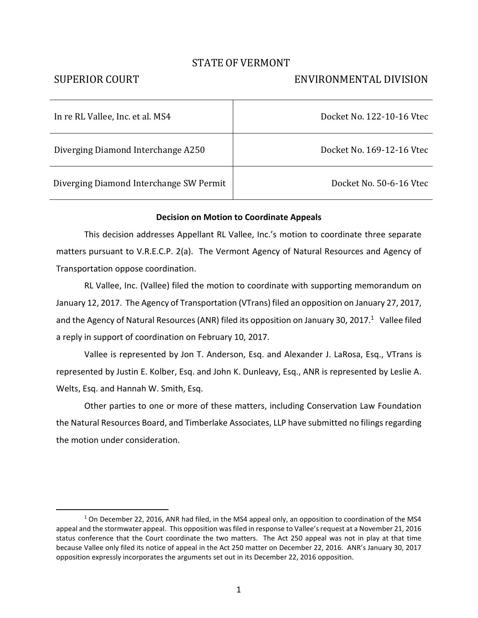## STATE OF VERMONT

 $\overline{a}$ 

# SUPERIOR COURT ENVIRONMENTAL DIVISION

| In re RL Vallee, Inc. et al. MS4        | Docket No. 122-10-16 Vtec |
|-----------------------------------------|---------------------------|
| Diverging Diamond Interchange A250      | Docket No. 169-12-16 Vtec |
| Diverging Diamond Interchange SW Permit | Docket No. 50-6-16 Vtec   |

#### **Decision on Motion to Coordinate Appeals**

This decision addresses Appellant RL Vallee, Inc.'s motion to coordinate three separate matters pursuant to V.R.E.C.P. 2(a). The Vermont Agency of Natural Resources and Agency of Transportation oppose coordination.

RL Vallee, Inc. (Vallee) filed the motion to coordinate with supporting memorandum on January 12, 2017. The Agency of Transportation (VTrans) filed an opposition on January 27, 2017, and the Agency of Natural Resources (ANR) filed its opposition on January 30, 2017.<sup>1</sup> Vallee filed a reply in support of coordination on February 10, 2017.

Vallee is represented by Jon T. Anderson, Esq. and Alexander J. LaRosa, Esq., VTrans is represented by Justin E. Kolber, Esq. and John K. Dunleavy, Esq., ANR is represented by Leslie A. Welts, Esq. and Hannah W. Smith, Esq.

Other parties to one or more of these matters, including Conservation Law Foundation the Natural Resources Board, and Timberlake Associates, LLP have submitted no filings regarding the motion under consideration.

 $1$  On December 22, 2016, ANR had filed, in the MS4 appeal only, an opposition to coordination of the MS4 appeal and the stormwater appeal. This opposition was filed in response to Vallee's request at a November 21, 2016 status conference that the Court coordinate the two matters. The Act 250 appeal was not in play at that time because Vallee only filed its notice of appeal in the Act 250 matter on December 22, 2016. ANR's January 30, 2017 opposition expressly incorporates the arguments set out in its December 22, 2016 opposition.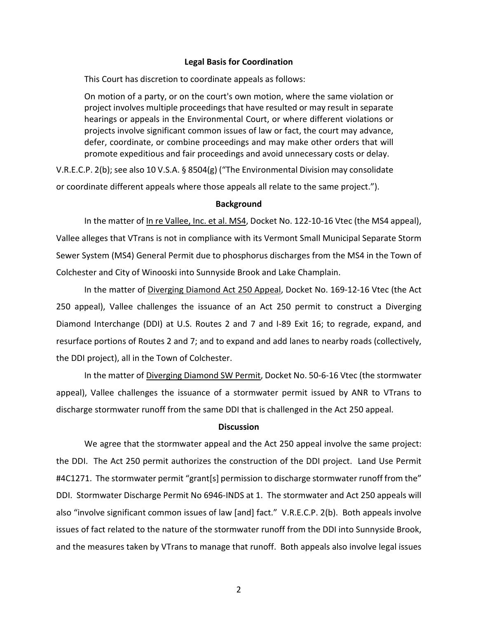#### **Legal Basis for Coordination**

This Court has discretion to coordinate appeals as follows:

On motion of a party, or on the court's own motion, where the same violation or project involves multiple proceedings that have resulted or may result in separate hearings or appeals in the Environmental Court, or where different violations or projects involve significant common issues of law or fact, the court may advance, defer, coordinate, or combine proceedings and may make other orders that will promote expeditious and fair proceedings and avoid unnecessary costs or delay.

V.R.E.C.P. 2(b); see also 10 V.S.A. § 8504(g) ("The Environmental Division may consolidate or coordinate different appeals where those appeals all relate to the same project.").

#### **Background**

In the matter of In re Vallee, Inc. et al. MS4, Docket No. 122-10-16 Vtec (the MS4 appeal), Vallee alleges that VTrans is not in compliance with its Vermont Small Municipal Separate Storm Sewer System (MS4) General Permit due to phosphorus discharges from the MS4 in the Town of Colchester and City of Winooski into Sunnyside Brook and Lake Champlain.

In the matter of Diverging Diamond Act 250 Appeal, Docket No. 169-12-16 Vtec (the Act 250 appeal), Vallee challenges the issuance of an Act 250 permit to construct a Diverging Diamond Interchange (DDI) at U.S. Routes 2 and 7 and I-89 Exit 16; to regrade, expand, and resurface portions of Routes 2 and 7; and to expand and add lanes to nearby roads (collectively, the DDI project), all in the Town of Colchester.

In the matter of Diverging Diamond SW Permit, Docket No. 50-6-16 Vtec (the stormwater appeal), Vallee challenges the issuance of a stormwater permit issued by ANR to VTrans to discharge stormwater runoff from the same DDI that is challenged in the Act 250 appeal.

### **Discussion**

We agree that the stormwater appeal and the Act 250 appeal involve the same project: the DDI. The Act 250 permit authorizes the construction of the DDI project. Land Use Permit #4C1271. The stormwater permit "grant[s] permission to discharge stormwater runoff from the" DDI. Stormwater Discharge Permit No 6946-INDS at 1. The stormwater and Act 250 appeals will also "involve significant common issues of law [and] fact." V.R.E.C.P. 2(b). Both appeals involve issues of fact related to the nature of the stormwater runoff from the DDI into Sunnyside Brook, and the measures taken by VTrans to manage that runoff. Both appeals also involve legal issues

2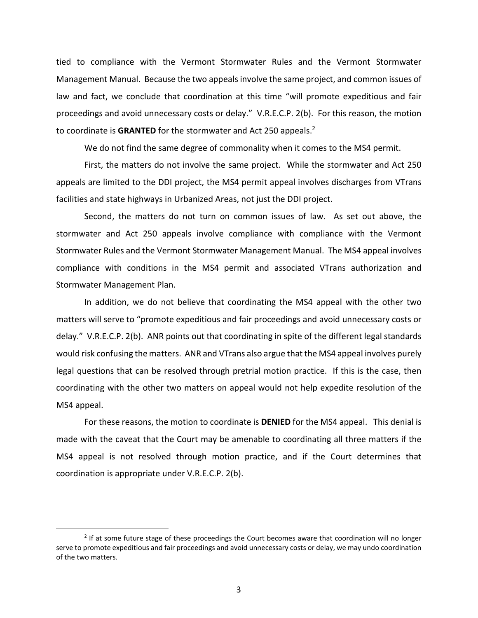tied to compliance with the Vermont Stormwater Rules and the Vermont Stormwater Management Manual. Because the two appeals involve the same project, and common issues of law and fact, we conclude that coordination at this time "will promote expeditious and fair proceedings and avoid unnecessary costs or delay." V.R.E.C.P. 2(b). For this reason, the motion to coordinate is GRANTED for the stormwater and Act 250 appeals.<sup>2</sup>

We do not find the same degree of commonality when it comes to the MS4 permit.

First, the matters do not involve the same project. While the stormwater and Act 250 appeals are limited to the DDI project, the MS4 permit appeal involves discharges from VTrans facilities and state highways in Urbanized Areas, not just the DDI project.

Second, the matters do not turn on common issues of law. As set out above, the stormwater and Act 250 appeals involve compliance with compliance with the Vermont Stormwater Rules and the Vermont Stormwater Management Manual. The MS4 appeal involves compliance with conditions in the MS4 permit and associated VTrans authorization and Stormwater Management Plan.

In addition, we do not believe that coordinating the MS4 appeal with the other two matters will serve to "promote expeditious and fair proceedings and avoid unnecessary costs or delay." V.R.E.C.P. 2(b). ANR points out that coordinating in spite of the different legal standards would risk confusing the matters. ANR and VTrans also argue that the MS4 appeal involves purely legal questions that can be resolved through pretrial motion practice. If this is the case, then coordinating with the other two matters on appeal would not help expedite resolution of the MS4 appeal.

For these reasons, the motion to coordinate is **DENIED** for the MS4 appeal. This denial is made with the caveat that the Court may be amenable to coordinating all three matters if the MS4 appeal is not resolved through motion practice, and if the Court determines that coordination is appropriate under V.R.E.C.P. 2(b).

 $\overline{a}$ 

<sup>&</sup>lt;sup>2</sup> If at some future stage of these proceedings the Court becomes aware that coordination will no longer serve to promote expeditious and fair proceedings and avoid unnecessary costs or delay, we may undo coordination of the two matters.